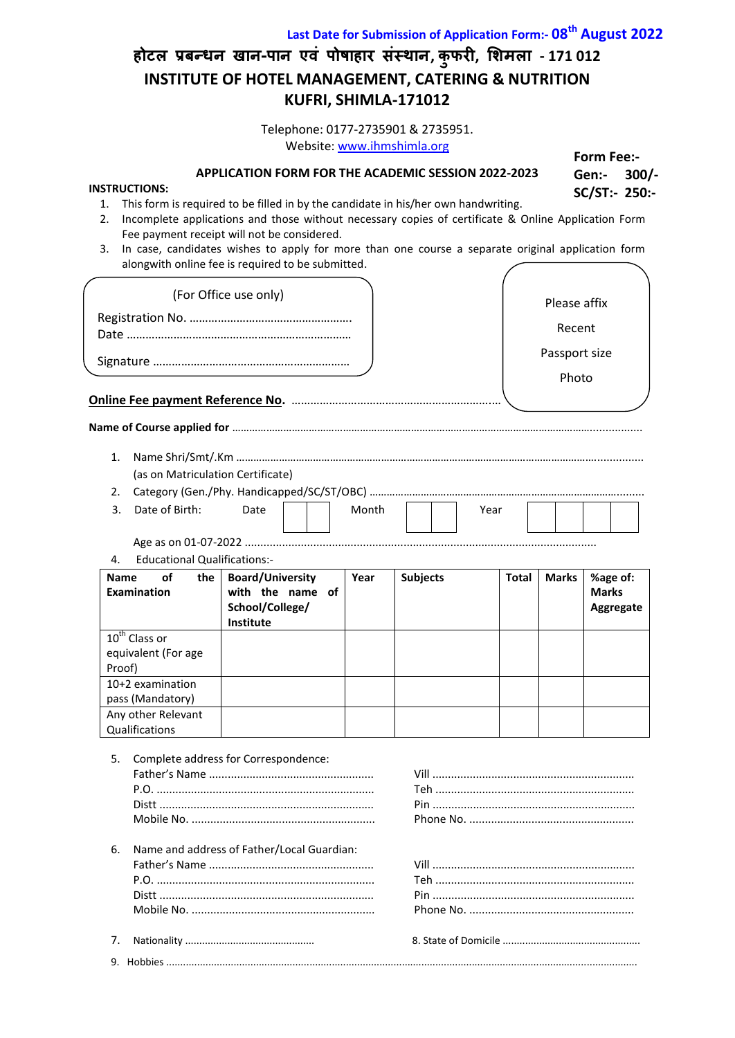**होटल प्रफन्धन खान-ऩान एवं ऩोषाहार संस्थान, क ु परी, शिमला - 171 012 INSTITUTE OF HOTEL MANAGEMENT, CATERING & NUTRITION KUFRI, SHIMLA-171012 Last Date for Submission of Application Form:- 08th August 2022**

> **Form Fee:- Gen:- 300/- SC/ST:- 250:-**

Telephone: 0177-2735901 & 2735951. Website: [www.ihmshimla.org](http://www.ihmshimla.org/)

**APPLICATION FORM FOR THE ACADEMIC SESSION 2022-2023**

#### **INSTRUCTIONS:**

- 1. This form is required to be filled in by the candidate in his/her own handwriting.
- 2. Incomplete applications and those without necessary copies of certificate & Online Application Form Fee payment receipt will not be considered.
- 3. In case, candidates wishes to apply for more than one course a separate original application form alongwith online fee is required to be submitted.

|             |                                            | alongwith online fee is required to be submitted. |       |                 |              |               |              |
|-------------|--------------------------------------------|---------------------------------------------------|-------|-----------------|--------------|---------------|--------------|
|             |                                            | (For Office use only)                             |       |                 |              | Please affix  |              |
|             |                                            |                                                   |       |                 |              | Recent        |              |
|             |                                            |                                                   |       |                 |              |               |              |
|             |                                            |                                                   |       |                 |              | Passport size |              |
|             |                                            |                                                   |       |                 |              | Photo         |              |
|             |                                            |                                                   |       |                 |              |               |              |
|             |                                            |                                                   |       |                 |              |               |              |
|             |                                            |                                                   |       |                 |              |               |              |
| 1.          |                                            |                                                   |       |                 |              |               |              |
|             | (as on Matriculation Certificate)          |                                                   |       |                 |              |               |              |
| 2.          |                                            |                                                   |       |                 |              |               |              |
| 3.          | Date of Birth:                             | Date                                              | Month |                 | Year         |               |              |
|             |                                            |                                                   |       |                 |              |               |              |
| 4.          | <b>Educational Qualifications:-</b>        |                                                   |       |                 |              |               |              |
| <b>Name</b> | οf<br>the                                  | <b>Board/University</b>                           | Year  | <b>Subjects</b> | <b>Total</b> | <b>Marks</b>  | %age of:     |
|             | <b>Examination</b>                         | with the name of                                  |       |                 |              |               | <b>Marks</b> |
|             |                                            | School/College/<br>Institute                      |       |                 |              |               | Aggregate    |
|             | 10 <sup>th</sup> Class or                  |                                                   |       |                 |              |               |              |
|             | equivalent (For age                        |                                                   |       |                 |              |               |              |
| Proof)      |                                            |                                                   |       |                 |              |               |              |
|             | 10+2 examination                           |                                                   |       |                 |              |               |              |
|             | pass (Mandatory)                           |                                                   |       |                 |              |               |              |
|             | Any other Relevant                         |                                                   |       |                 |              |               |              |
|             | Qualifications                             |                                                   |       |                 |              |               |              |
| 5.          |                                            | Complete address for Correspondence:              |       |                 |              |               |              |
|             |                                            |                                                   |       |                 |              |               |              |
|             |                                            |                                                   |       |                 |              |               |              |
|             |                                            |                                                   |       |                 |              |               |              |
|             |                                            |                                                   |       |                 |              |               |              |
| 6.          |                                            |                                                   |       |                 |              |               |              |
|             | Name and address of Father/Local Guardian: |                                                   |       |                 |              |               |              |
|             |                                            |                                                   |       |                 |              |               |              |
|             |                                            |                                                   |       |                 |              |               |              |
|             |                                            |                                                   |       |                 |              |               |              |

7. Nationality .............................................. 8. State of Domicile ................................................. 9. Hobbies ........................................................................................................................................................................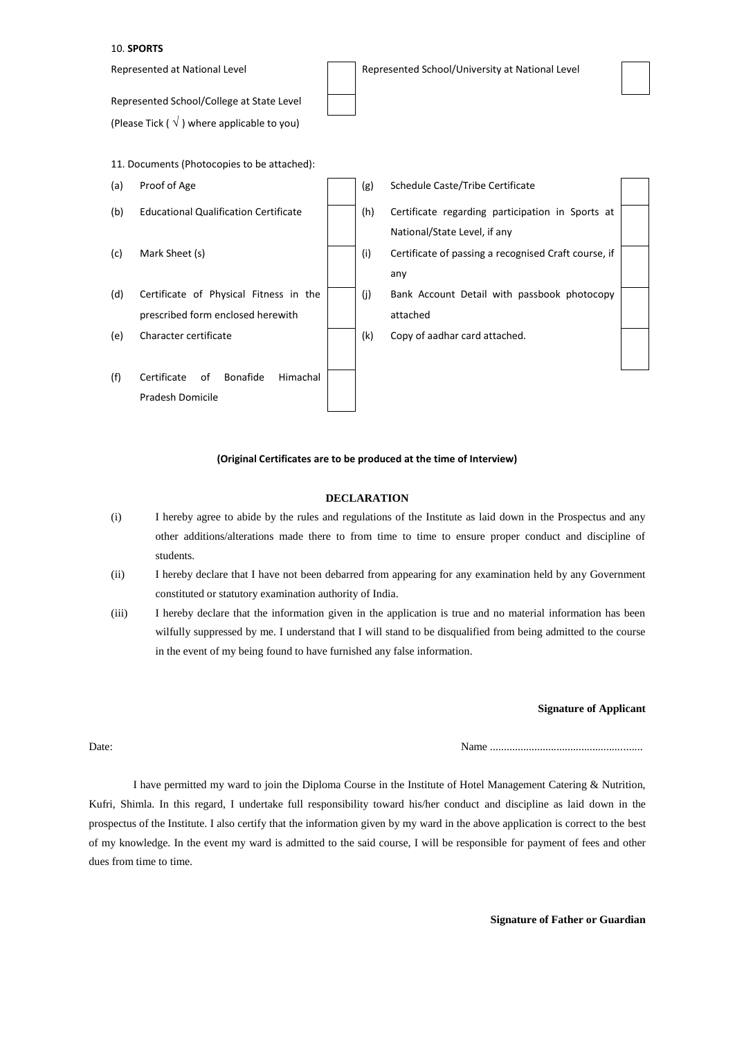### 10. **SPORTS**



### **(Original Certificates are to be produced at the time of Interview)**

## **DECLARATION**

- (i) I hereby agree to abide by the rules and regulations of the Institute as laid down in the Prospectus and any other additions/alterations made there to from time to time to ensure proper conduct and discipline of students.
- (ii) I hereby declare that I have not been debarred from appearing for any examination held by any Government constituted or statutory examination authority of India.
- (iii) I hereby declare that the information given in the application is true and no material information has been wilfully suppressed by me. I understand that I will stand to be disqualified from being admitted to the course in the event of my being found to have furnished any false information.

### **Signature of Applicant**

Date: Name .......................................................

I have permitted my ward to join the Diploma Course in the Institute of Hotel Management Catering & Nutrition, Kufri, Shimla. In this regard, I undertake full responsibility toward his/her conduct and discipline as laid down in the prospectus of the Institute. I also certify that the information given by my ward in the above application is correct to the best of my knowledge. In the event my ward is admitted to the said course, I will be responsible for payment of fees and other dues from time to time.

**Signature of Father or Guardian**